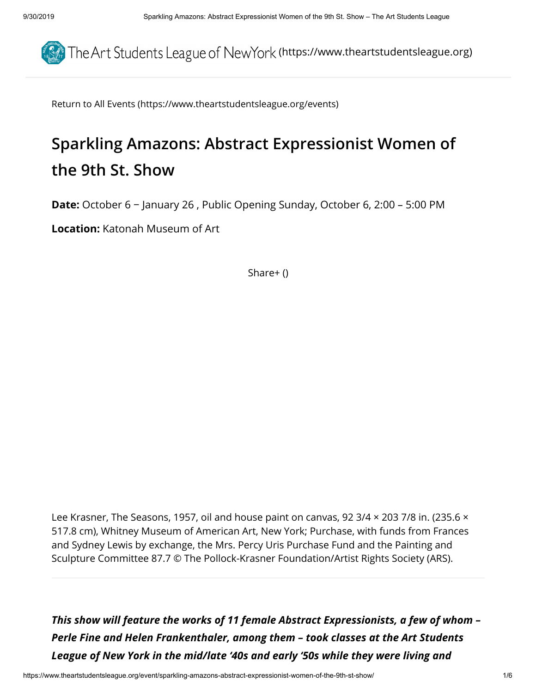

[Return to All Events \(https://www.theartstudentsleague.org/events\)](https://www.theartstudentsleague.org/events)

# **Sparkling Amazons: Abstract Expressionist Women of the 9th St. Show**

**Date:** October 6 − January 26 , Public Opening Sunday, October 6, 2:00 – 5:00 PM

**Location:** Katonah Museum of Art

[Share+ \(\)](https://www.theartstudentsleague.org/event/sparkling-amazons-abstract-expressionist-women-of-the-9th-st-show/)

Lee Krasner, The Seasons, 1957, oil and house paint on canvas, 92 3/4 × 203 7/8 in. (235.6 × 517.8 cm), Whitney Museum of American Art, New York; Purchase, with funds from Frances and Sydney Lewis by exchange, the Mrs. Percy Uris Purchase Fund and the Painting and Sculpture Committee 87.7 © The Pollock-Krasner Foundation/Artist Rights Society (ARS).

*This show will feature the works of 11 female Abstract Expressionists, a few of whom – Perle Fine and Helen Frankenthaler, among them – took classes at the Art Students League of New York in the mid/late '40s and early '50s while they were living and*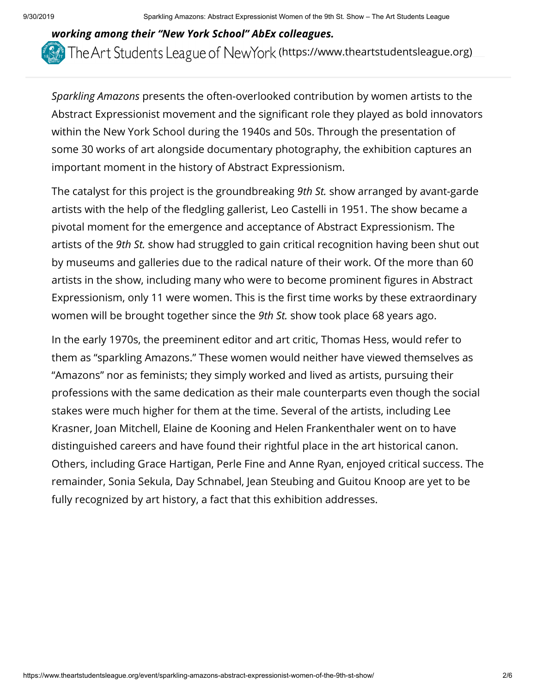## *working among their "New York School" AbEx colleagues.*  The Art Students League of NewYork [\(https://www.theartstudentsleague.org\)](https://www.theartstudentsleague.org/)

*Sparkling Amazons* presents the often-overlooked contribution by women artists to the Abstract Expressionist movement and the significant role they played as bold innovators within the New York School during the 1940s and 50s. Through the presentation of some 30 works of art alongside documentary photography, the exhibition captures an important moment in the history of Abstract Expressionism.

The catalyst for this project is the groundbreaking *9th St.* show arranged by avant-garde artists with the help of the fledgling gallerist, Leo Castelli in 1951. The show became a pivotal moment for the emergence and acceptance of Abstract Expressionism. The artists of the *9th St.* show had struggled to gain critical recognition having been shut out by museums and galleries due to the radical nature of their work. Of the more than 60 artists in the show, including many who were to become prominent figures in Abstract Expressionism, only 11 were women. This is the first time works by these extraordinary women will be brought together since the *9th St.* show took place 68 years ago.

In the early 1970s, the preeminent editor and art critic, Thomas Hess, would refer to them as "sparkling Amazons." These women would neither have viewed themselves as "Amazons" nor as feminists; they simply worked and lived as artists, pursuing their professions with the same dedication as their male counterparts even though the social stakes were much higher for them at the time. Several of the artists, including Lee Krasner, Joan Mitchell, Elaine de Kooning and Helen Frankenthaler went on to have distinguished careers and have found their rightful place in the art historical canon. Others, including Grace Hartigan, Perle Fine and Anne Ryan, enjoyed critical success. The remainder, Sonia Sekula, Day Schnabel, Jean Steubing and Guitou Knoop are yet to be fully recognized by art history, a fact that this exhibition addresses.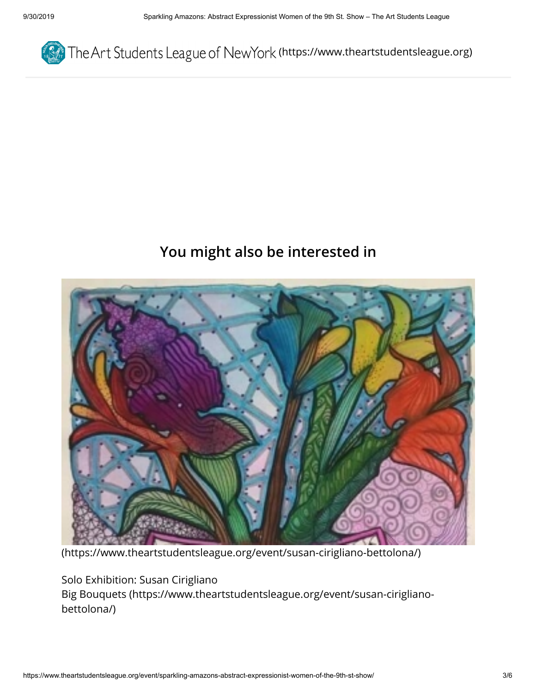

#### **You might also be interested in**



[\(https://www.theartstudentsleague.org/event/susan-cirigliano-bettolona/\)](https://www.theartstudentsleague.org/event/susan-cirigliano-bettolona/)

Solo Exhibition: Susan Cirigliano [Big Bouquets \(https://www.theartstudentsleague.org/event/susan-cirigliano](https://www.theartstudentsleague.org/event/susan-cirigliano-bettolona/)bettolona/)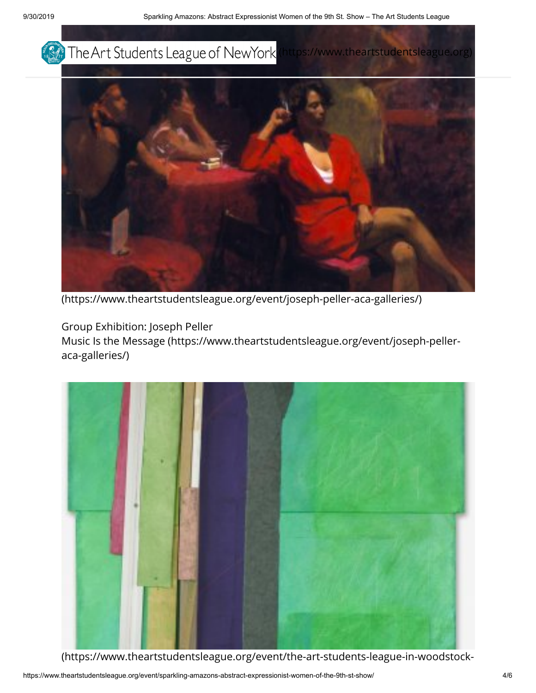



[\(https://www.theartstudentsleague.org/event/joseph-peller-aca-galleries/\)](https://www.theartstudentsleague.org/event/joseph-peller-aca-galleries/)

Group Exhibition: Joseph Peller

[Music Is the Message \(https://www.theartstudentsleague.org/event/joseph-peller](https://www.theartstudentsleague.org/event/joseph-peller-aca-galleries/)aca-galleries/)



[\(https://www.theartstudentsleague.org/event/the-art-students-league-in-woodstock-](https://www.theartstudentsleague.org/event/the-art-students-league-in-woodstock-1947-79/)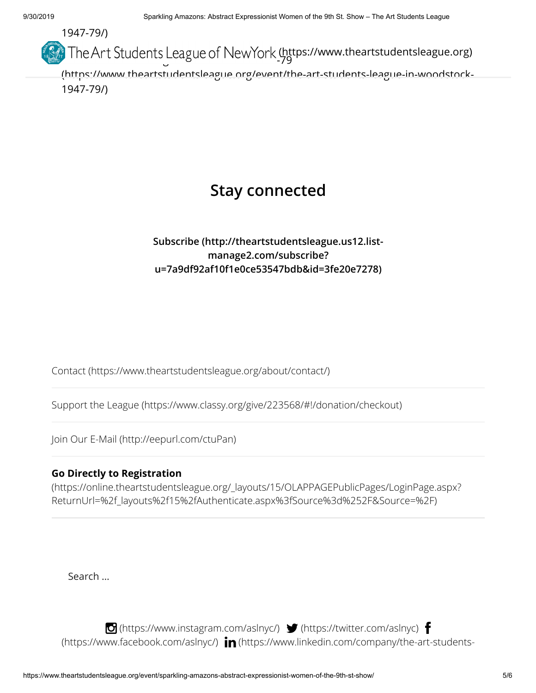

### **Stay connected**

#### **[Subscribe \(http://theartstudentsleague.us12.list](http://theartstudentsleague.us12.list-manage2.com/subscribe?u=7a9df92af10f1e0ce53547bdb&id=3fe20e7278)manage2.com/subscribe? u=7a9df92af10f1e0ce53547bdb&id=3fe20e7278)**

[Contact \(https://www.theartstudentsleague.org/about/contact/\)](https://www.theartstudentsleague.org/about/contact/)

[Support the League \(https://www.classy.org/give/223568/#!/donation/checkout\)](https://www.classy.org/give/223568/#!/donation/checkout)

[Join Our E-Mail \(http://eepurl.com/ctuPan\)](http://eepurl.com/ctuPan)

#### **Go Directly to Registration**

[\(https://online.theartstudentsleague.org/\\_layouts/15/OLAPPAGEPublicPages/LoginPage.aspx?](https://online.theartstudentsleague.org/_layouts/15/OLAPPAGEPublicPages/LoginPage.aspx?ReturnUrl=%2f_layouts%2f15%2fAuthenticate.aspx%3fSource%3d%252F&Source=%2F) ReturnUrl=%2f\_layouts%2f15%2fAuthenticate.aspx%3fSource%3d%252F&Source=%2F)

Search …

 $\bullet$  [\(https://www.instagram.com/aslnyc/\)](https://www.instagram.com/aslnyc/)  $\bullet$  [\(https://twitter.com/aslnyc\)](https://twitter.com/aslnyc)  $\bullet$ (https://www.facebook.com/aslnyc/)  $\mathop{\text{in}}$  [\(https://www.linkedin.com/company/the-art](https://www.facebook.com/aslnyc/)[-students-](https://www.linkedin.com/company/the-art-students-league-of-ny)